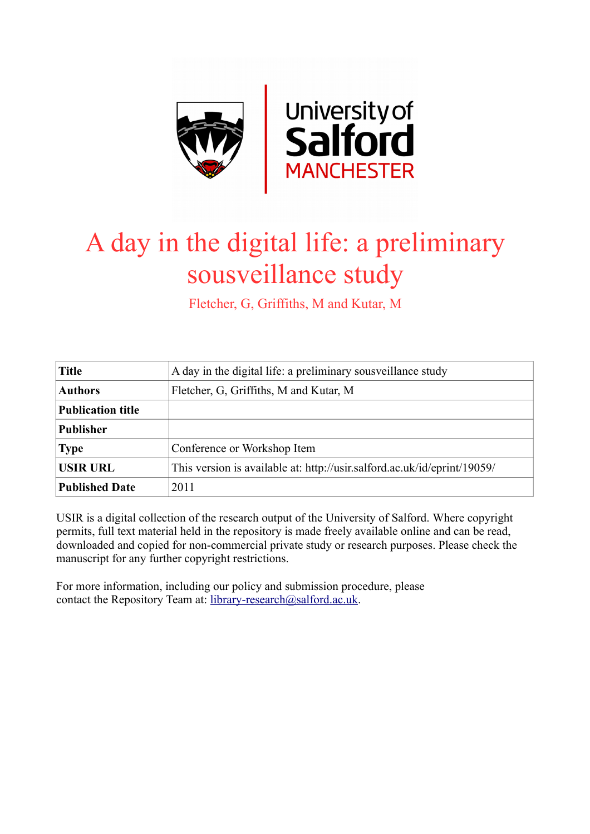

# A day in the digital life: a preliminary sousveillance study

Fletcher, G, Griffiths, M and Kutar, M

| <b>Title</b>             | A day in the digital life: a preliminary sous veillance study            |
|--------------------------|--------------------------------------------------------------------------|
| <b>Authors</b>           | Fletcher, G, Griffiths, M and Kutar, M                                   |
| <b>Publication title</b> |                                                                          |
| <b>Publisher</b>         |                                                                          |
| <b>Type</b>              | Conference or Workshop Item                                              |
| <b>USIR URL</b>          | This version is available at: http://usir.salford.ac.uk/id/eprint/19059/ |
| <b>Published Date</b>    | 2011                                                                     |

USIR is a digital collection of the research output of the University of Salford. Where copyright permits, full text material held in the repository is made freely available online and can be read, downloaded and copied for non-commercial private study or research purposes. Please check the manuscript for any further copyright restrictions.

For more information, including our policy and submission procedure, please contact the Repository Team at: [library-research@salford.ac.uk.](mailto:library-research@salford.ac.uk)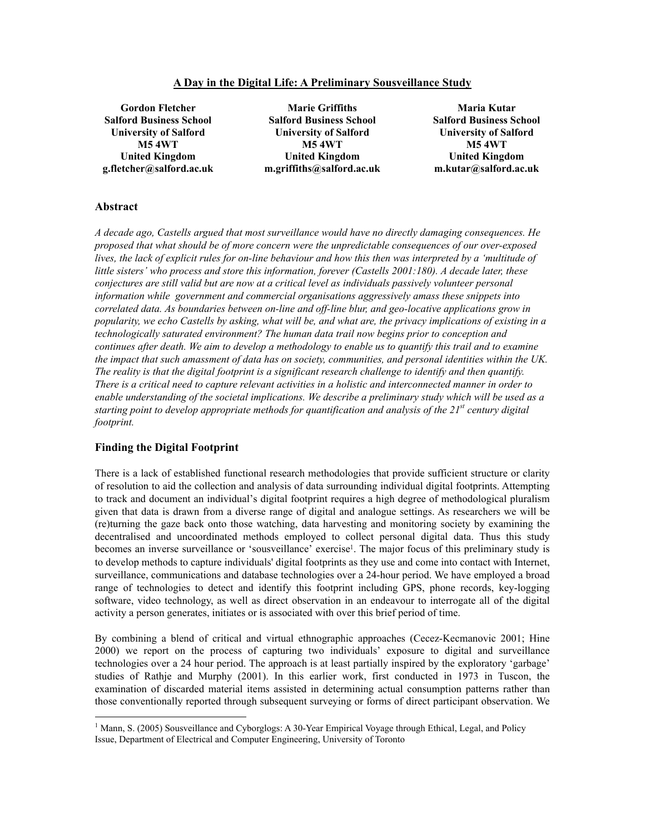#### **A Day in the Digital Life: A Preliminary Sousveillance Study**

**Gordon Fletcher Salford Business School University of Salford M5 4WT United Kingdom g.fletcher@salford.ac.uk**

**Marie Griffiths Salford Business School University of Salford M5 4WT United Kingdom m.griffiths@salford.ac.uk**

**Maria Kutar Salford Business School University of Salford M5 4WT United Kingdom m.kutar@salford.ac.uk**

# **Abstract**

*A decade ago, Castells argued that most surveillance would have no directly damaging consequences. He proposed that what should be of more concern were the unpredictable consequences of our over-exposed lives, the lack of explicit rules for on-line behaviour and how this then was interpreted by a 'multitude of little sisters' who process and store this information, forever (Castells 2001:180). A decade later, these conjectures are still valid but are now at a critical level as individuals passively volunteer personal information while government and commercial organisations aggressively amass these snippets into correlated data. As boundaries between on-line and off-line blur, and geo-locative applications grow in popularity, we echo Castells by asking, what will be, and what are, the privacy implications of existing in a technologically saturated environment? The human data trail now begins prior to conception and continues after death. We aim to develop a methodology to enable us to quantify this trail and to examine the impact that such amassment of data has on society, communities, and personal identities within the UK. The reality is that the digital footprint is a significant research challenge to identify and then quantify. There is a critical need to capture relevant activities in a holistic and interconnected manner in order to enable understanding of the societal implications. We describe a preliminary study which will be used as a starting point to develop appropriate methods for quantification and analysis of the 21st century digital footprint.* 

## **Finding the Digital Footprint**

There is a lack of established functional research methodologies that provide sufficient structure or clarity of resolution to aid the collection and analysis of data surrounding individual digital footprints. Attempting to track and document an individual's digital footprint requires a high degree of methodological pluralism given that data is drawn from a diverse range of digital and analogue settings. As researchers we will be (re)turning the gaze back onto those watching, data harvesting and monitoring society by examining the decentralised and uncoordinated methods employed to collect personal digital data. Thus this study becomes an inverse surveillance or 'sousveillance' exercise<sup>1</sup>. The major focus of this preliminary study is to develop methods to capture individuals' digital footprints as they use and come into contact with Internet, surveillance, communications and database technologies over a 24-hour period. We have employed a broad range of technologies to detect and identify this footprint including GPS, phone records, key-logging software, video technology, as well as direct observation in an endeavour to interrogate all of the digital activity a person generates, initiates or is associated with over this brief period of time.

By combining a blend of critical and virtual ethnographic approaches (Cecez-Kecmanovic 2001; Hine 2000) we report on the process of capturing two individuals' exposure to digital and surveillance technologies over a 24 hour period. The approach is at least partially inspired by the exploratory 'garbage' studies of Rathje and Murphy (2001). In this earlier work, first conducted in 1973 in Tuscon, the examination of discarded material items assisted in determining actual consumption patterns rather than those conventionally reported through subsequent surveying or forms of direct participant observation. We

 $\frac{1}{1}$ <sup>1</sup> Mann, S. (2005) Sousveillance and Cyborglogs: A 30-Year Empirical Voyage through Ethical, Legal, and Policy Issue, Department of Electrical and Computer Engineering, University of Toronto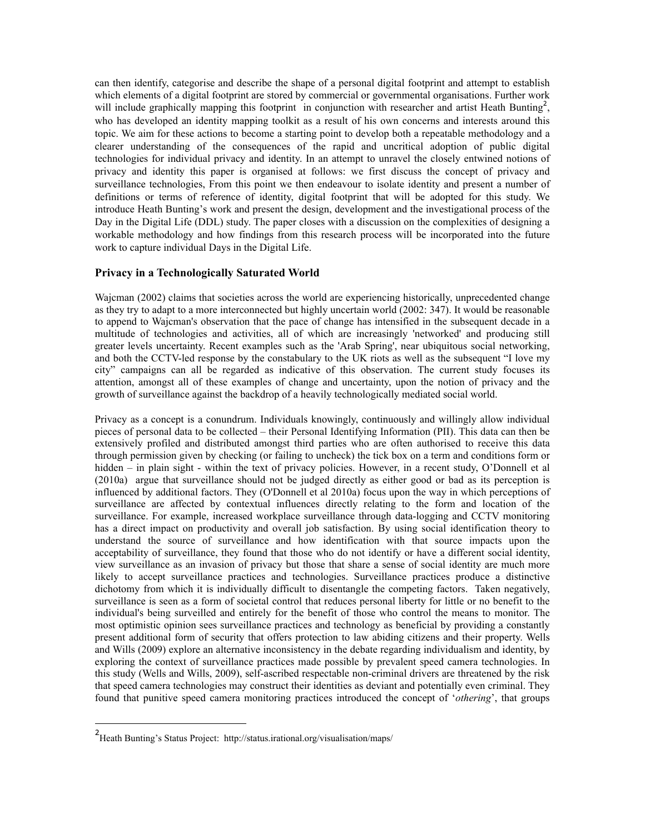can then identify, categorise and describe the shape of a personal digital footprint and attempt to establish which elements of a digital footprint are stored by commercial or governmental organisations. Further work will include graphically mapping this footprint in conjunction with researcher and artist Heath Bunting<sup>2</sup>, who has developed an identity mapping toolkit as a result of his own concerns and interests around this topic. We aim for these actions to become a starting point to develop both a repeatable methodology and a clearer understanding of the consequences of the rapid and uncritical adoption of public digital technologies for individual privacy and identity. In an attempt to unravel the closely entwined notions of privacy and identity this paper is organised at follows: we first discuss the concept of privacy and surveillance technologies, From this point we then endeavour to isolate identity and present a number of definitions or terms of reference of identity, digital footprint that will be adopted for this study. We introduce Heath Bunting's work and present the design, development and the investigational process of the Day in the Digital Life (DDL) study. The paper closes with a discussion on the complexities of designing a workable methodology and how findings from this research process will be incorporated into the future work to capture individual Days in the Digital Life.

# **Privacy in a Technologically Saturated World**

Waicman (2002) claims that societies across the world are experiencing historically, unprecedented change as they try to adapt to a more interconnected but highly uncertain world (2002: 347). It would be reasonable to append to Wajcman's observation that the pace of change has intensified in the subsequent decade in a multitude of technologies and activities, all of which are increasingly 'networked' and producing still greater levels uncertainty. Recent examples such as the 'Arab Spring', near ubiquitous social networking, and both the CCTV-led response by the constabulary to the UK riots as well as the subsequent "I love my city" campaigns can all be regarded as indicative of this observation. The current study focuses its attention, amongst all of these examples of change and uncertainty, upon the notion of privacy and the growth of surveillance against the backdrop of a heavily technologically mediated social world.

Privacy as a concept is a conundrum. Individuals knowingly, continuously and willingly allow individual pieces of personal data to be collected – their Personal Identifying Information (PII). This data can then be extensively profiled and distributed amongst third parties who are often authorised to receive this data through permission given by checking (or failing to uncheck) the tick box on a term and conditions form or hidden – in plain sight - within the text of privacy policies. However, in a recent study, O'Donnell et al (2010a) argue that surveillance should not be judged directly as either good or bad as its perception is influenced by additional factors. They (O'Donnell et al 2010a) focus upon the way in which perceptions of surveillance are affected by contextual influences directly relating to the form and location of the surveillance. For example, increased workplace surveillance through data-logging and CCTV monitoring has a direct impact on productivity and overall job satisfaction. By using social identification theory to understand the source of surveillance and how identification with that source impacts upon the acceptability of surveillance, they found that those who do not identify or have a different social identity, view surveillance as an invasion of privacy but those that share a sense of social identity are much more likely to accept surveillance practices and technologies. Surveillance practices produce a distinctive dichotomy from which it is individually difficult to disentangle the competing factors. Taken negatively, surveillance is seen as a form of societal control that reduces personal liberty for little or no benefit to the individual's being surveilled and entirely for the benefit of those who control the means to monitor. The most optimistic opinion sees surveillance practices and technology as beneficial by providing a constantly present additional form of security that offers protection to law abiding citizens and their property. Wells and Wills (2009) explore an alternative inconsistency in the debate regarding individualism and identity, by exploring the context of surveillance practices made possible by prevalent speed camera technologies. In this study (Wells and Wills, 2009), self-ascribed respectable non-criminal drivers are threatened by the risk that speed camera technologies may construct their identities as deviant and potentially even criminal. They found that punitive speed camera monitoring practices introduced the concept of '*othering*', that groups

2 Heath Bunting's Status Project: http://status.irational.org/visualisation/maps/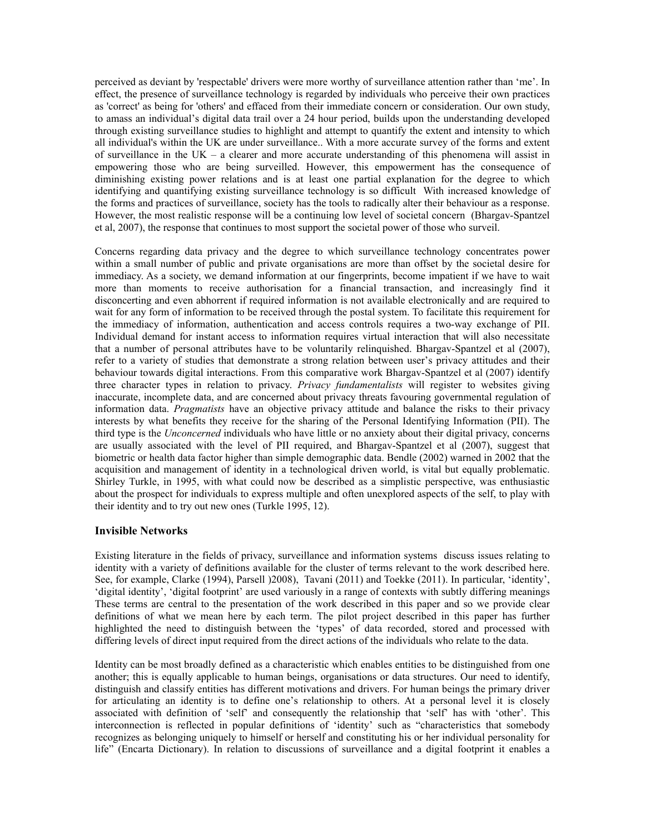perceived as deviant by 'respectable' drivers were more worthy of surveillance attention rather than 'me'. In effect, the presence of surveillance technology is regarded by individuals who perceive their own practices as 'correct' as being for 'others' and effaced from their immediate concern or consideration. Our own study, to amass an individual's digital data trail over a 24 hour period, builds upon the understanding developed through existing surveillance studies to highlight and attempt to quantify the extent and intensity to which all individual's within the UK are under surveillance.. With a more accurate survey of the forms and extent of surveillance in the UK – a clearer and more accurate understanding of this phenomena will assist in empowering those who are being surveilled. However, this empowerment has the consequence of diminishing existing power relations and is at least one partial explanation for the degree to which identifying and quantifying existing surveillance technology is so difficult With increased knowledge of the forms and practices of surveillance, society has the tools to radically alter their behaviour as a response. However, the most realistic response will be a continuing low level of societal concern (Bhargav-Spantzel et al, 2007), the response that continues to most support the societal power of those who surveil.

Concerns regarding data privacy and the degree to which surveillance technology concentrates power within a small number of public and private organisations are more than offset by the societal desire for immediacy. As a society, we demand information at our fingerprints, become impatient if we have to wait more than moments to receive authorisation for a financial transaction, and increasingly find it disconcerting and even abhorrent if required information is not available electronically and are required to wait for any form of information to be received through the postal system. To facilitate this requirement for the immediacy of information, authentication and access controls requires a two-way exchange of PII. Individual demand for instant access to information requires virtual interaction that will also necessitate that a number of personal attributes have to be voluntarily relinquished. Bhargav-Spantzel et al (2007), refer to a variety of studies that demonstrate a strong relation between user's privacy attitudes and their behaviour towards digital interactions. From this comparative work Bhargav-Spantzel et al (2007) identify three character types in relation to privacy. *Privacy fundamentalists* will register to websites giving inaccurate, incomplete data, and are concerned about privacy threats favouring governmental regulation of information data. *Pragmatists* have an objective privacy attitude and balance the risks to their privacy interests by what benefits they receive for the sharing of the Personal Identifying Information (PII). The third type is the *Unconcerned* individuals who have little or no anxiety about their digital privacy, concerns are usually associated with the level of PII required, and Bhargav-Spantzel et al (2007), suggest that biometric or health data factor higher than simple demographic data. Bendle (2002) warned in 2002 that the acquisition and management of identity in a technological driven world, is vital but equally problematic. Shirley Turkle, in 1995, with what could now be described as a simplistic perspective, was enthusiastic about the prospect for individuals to express multiple and often unexplored aspects of the self, to play with their identity and to try out new ones (Turkle 1995, 12).

# **Invisible Networks**

Existing literature in the fields of privacy, surveillance and information systems discuss issues relating to identity with a variety of definitions available for the cluster of terms relevant to the work described here. See, for example, Clarke (1994), Parsell )2008), Tavani (2011) and Toekke (2011). In particular, 'identity', 'digital identity', 'digital footprint' are used variously in a range of contexts with subtly differing meanings These terms are central to the presentation of the work described in this paper and so we provide clear definitions of what we mean here by each term. The pilot project described in this paper has further highlighted the need to distinguish between the 'types' of data recorded, stored and processed with differing levels of direct input required from the direct actions of the individuals who relate to the data.

Identity can be most broadly defined as a characteristic which enables entities to be distinguished from one another; this is equally applicable to human beings, organisations or data structures. Our need to identify, distinguish and classify entities has different motivations and drivers. For human beings the primary driver for articulating an identity is to define one's relationship to others. At a personal level it is closely associated with definition of 'self' and consequently the relationship that 'self' has with 'other'. This interconnection is reflected in popular definitions of 'identity' such as "characteristics that somebody recognizes as belonging uniquely to himself or herself and constituting his or her individual personality for life" (Encarta Dictionary). In relation to discussions of surveillance and a digital footprint it enables a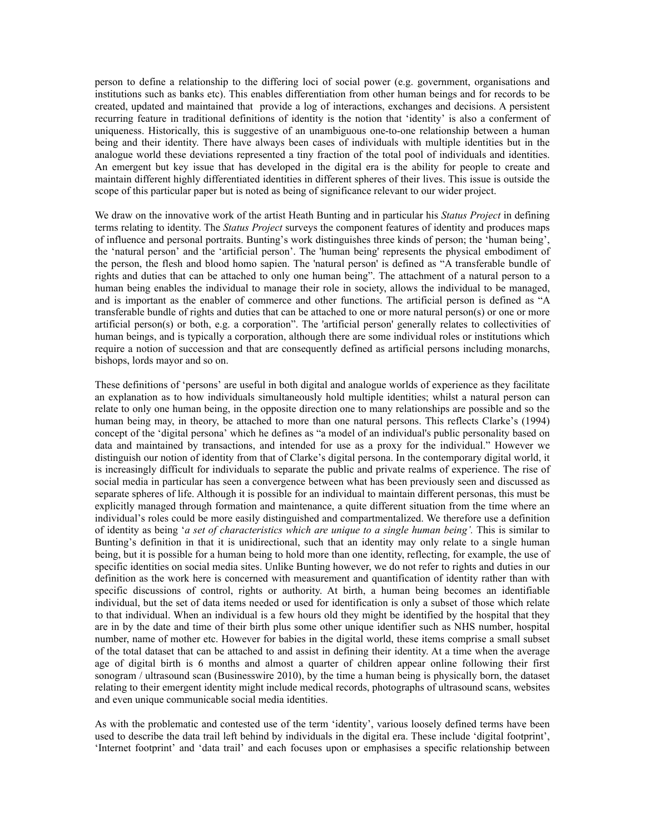person to define a relationship to the differing loci of social power (e.g. government, organisations and institutions such as banks etc). This enables differentiation from other human beings and for records to be created, updated and maintained that provide a log of interactions, exchanges and decisions. A persistent recurring feature in traditional definitions of identity is the notion that 'identity' is also a conferment of uniqueness. Historically, this is suggestive of an unambiguous one-to-one relationship between a human being and their identity. There have always been cases of individuals with multiple identities but in the analogue world these deviations represented a tiny fraction of the total pool of individuals and identities. An emergent but key issue that has developed in the digital era is the ability for people to create and maintain different highly differentiated identities in different spheres of their lives. This issue is outside the scope of this particular paper but is noted as being of significance relevant to our wider project.

We draw on the innovative work of the artist Heath Bunting and in particular his *Status Project* in defining terms relating to identity. The *Status Project* surveys the component features of identity and produces maps of influence and personal portraits. Bunting's work distinguishes three kinds of person; the 'human being', the 'natural person' and the 'artificial person'. The 'human being' represents the physical embodiment of the person, the flesh and blood homo sapien. The 'natural person' is defined as "A transferable bundle of rights and duties that can be attached to only one human being". The attachment of a natural person to a human being enables the individual to manage their role in society, allows the individual to be managed, and is important as the enabler of commerce and other functions. The artificial person is defined as "A transferable bundle of rights and duties that can be attached to one or more natural person(s) or one or more artificial person(s) or both, e.g. a corporation". The 'artificial person' generally relates to collectivities of human beings, and is typically a corporation, although there are some individual roles or institutions which require a notion of succession and that are consequently defined as artificial persons including monarchs, bishops, lords mayor and so on.

These definitions of 'persons' are useful in both digital and analogue worlds of experience as they facilitate an explanation as to how individuals simultaneously hold multiple identities; whilst a natural person can relate to only one human being, in the opposite direction one to many relationships are possible and so the human being may, in theory, be attached to more than one natural persons. This reflects Clarke's (1994) concept of the 'digital persona' which he defines as "a model of an individual's public personality based on data and maintained by transactions, and intended for use as a proxy for the individual." However we distinguish our notion of identity from that of Clarke's digital persona. In the contemporary digital world, it is increasingly difficult for individuals to separate the public and private realms of experience. The rise of social media in particular has seen a convergence between what has been previously seen and discussed as separate spheres of life. Although it is possible for an individual to maintain different personas, this must be explicitly managed through formation and maintenance, a quite different situation from the time where an individual's roles could be more easily distinguished and compartmentalized. We therefore use a definition of identity as being '*a set of characteristics which are unique to a single human being'.* This is similar to Bunting's definition in that it is unidirectional, such that an identity may only relate to a single human being, but it is possible for a human being to hold more than one identity, reflecting, for example, the use of specific identities on social media sites. Unlike Bunting however, we do not refer to rights and duties in our definition as the work here is concerned with measurement and quantification of identity rather than with specific discussions of control, rights or authority. At birth, a human being becomes an identifiable individual, but the set of data items needed or used for identification is only a subset of those which relate to that individual. When an individual is a few hours old they might be identified by the hospital that they are in by the date and time of their birth plus some other unique identifier such as NHS number, hospital number, name of mother etc. However for babies in the digital world, these items comprise a small subset of the total dataset that can be attached to and assist in defining their identity. At a time when the average age of digital birth is 6 months and almost a quarter of children appear online following their first sonogram / ultrasound scan (Businesswire 2010), by the time a human being is physically born, the dataset relating to their emergent identity might include medical records, photographs of ultrasound scans, websites and even unique communicable social media identities.

As with the problematic and contested use of the term 'identity', various loosely defined terms have been used to describe the data trail left behind by individuals in the digital era. These include 'digital footprint', 'Internet footprint' and 'data trail' and each focuses upon or emphasises a specific relationship between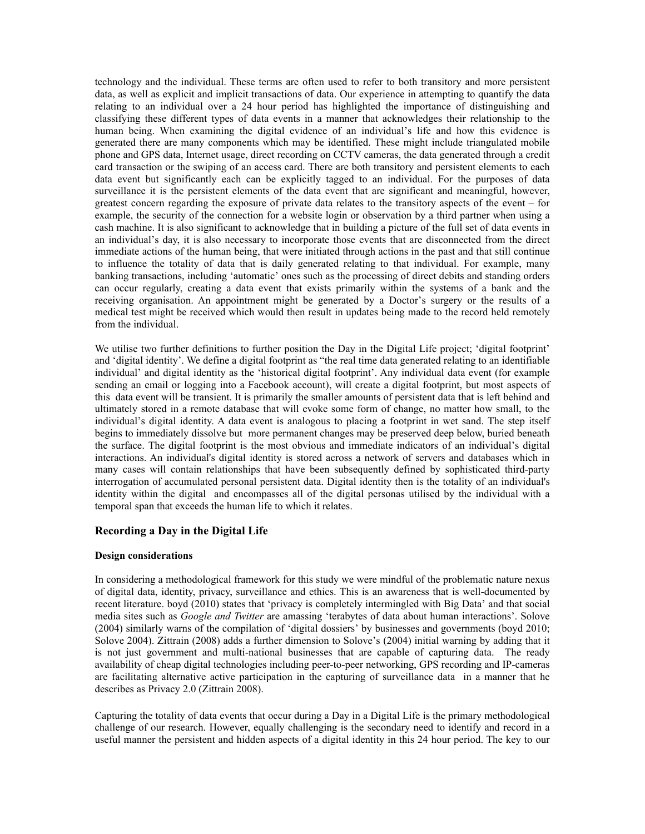technology and the individual. These terms are often used to refer to both transitory and more persistent data, as well as explicit and implicit transactions of data. Our experience in attempting to quantify the data relating to an individual over a 24 hour period has highlighted the importance of distinguishing and classifying these different types of data events in a manner that acknowledges their relationship to the human being. When examining the digital evidence of an individual's life and how this evidence is generated there are many components which may be identified. These might include triangulated mobile phone and GPS data, Internet usage, direct recording on CCTV cameras, the data generated through a credit card transaction or the swiping of an access card. There are both transitory and persistent elements to each data event but significantly each can be explicitly tagged to an individual. For the purposes of data surveillance it is the persistent elements of the data event that are significant and meaningful, however, greatest concern regarding the exposure of private data relates to the transitory aspects of the event – for example, the security of the connection for a website login or observation by a third partner when using a cash machine. It is also significant to acknowledge that in building a picture of the full set of data events in an individual's day, it is also necessary to incorporate those events that are disconnected from the direct immediate actions of the human being, that were initiated through actions in the past and that still continue to influence the totality of data that is daily generated relating to that individual. For example, many banking transactions, including 'automatic' ones such as the processing of direct debits and standing orders can occur regularly, creating a data event that exists primarily within the systems of a bank and the receiving organisation. An appointment might be generated by a Doctor's surgery or the results of a medical test might be received which would then result in updates being made to the record held remotely from the individual.

We utilise two further definitions to further position the Day in the Digital Life project; 'digital footprint' and 'digital identity'. We define a digital footprint as "the real time data generated relating to an identifiable individual' and digital identity as the 'historical digital footprint'. Any individual data event (for example sending an email or logging into a Facebook account), will create a digital footprint, but most aspects of this data event will be transient. It is primarily the smaller amounts of persistent data that is left behind and ultimately stored in a remote database that will evoke some form of change, no matter how small, to the individual's digital identity. A data event is analogous to placing a footprint in wet sand. The step itself begins to immediately dissolve but more permanent changes may be preserved deep below, buried beneath the surface. The digital footprint is the most obvious and immediate indicators of an individual's digital interactions. An individual's digital identity is stored across a network of servers and databases which in many cases will contain relationships that have been subsequently defined by sophisticated third-party interrogation of accumulated personal persistent data. Digital identity then is the totality of an individual's identity within the digital and encompasses all of the digital personas utilised by the individual with a temporal span that exceeds the human life to which it relates.

# **Recording a Day in the Digital Life**

#### **Design considerations**

In considering a methodological framework for this study we were mindful of the problematic nature nexus of digital data, identity, privacy, surveillance and ethics. This is an awareness that is well-documented by recent literature. boyd (2010) states that 'privacy is completely intermingled with Big Data' and that social media sites such as *Google and Twitter* are amassing 'terabytes of data about human interactions'. Solove (2004) similarly warns of the compilation of 'digital dossiers' by businesses and governments (boyd 2010; Solove 2004). Zittrain (2008) adds a further dimension to Solove's (2004) initial warning by adding that it is not just government and multi-national businesses that are capable of capturing data. The ready availability of cheap digital technologies including peer-to-peer networking, GPS recording and IP-cameras are facilitating alternative active participation in the capturing of surveillance data in a manner that he describes as Privacy 2.0 (Zittrain 2008).

Capturing the totality of data events that occur during a Day in a Digital Life is the primary methodological challenge of our research. However, equally challenging is the secondary need to identify and record in a useful manner the persistent and hidden aspects of a digital identity in this 24 hour period. The key to our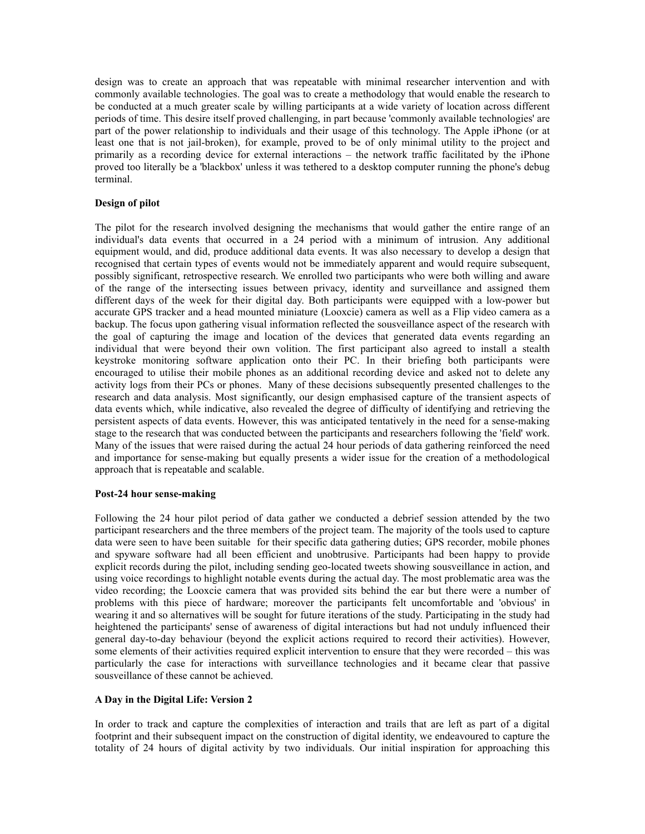design was to create an approach that was repeatable with minimal researcher intervention and with commonly available technologies. The goal was to create a methodology that would enable the research to be conducted at a much greater scale by willing participants at a wide variety of location across different periods of time. This desire itself proved challenging, in part because 'commonly available technologies' are part of the power relationship to individuals and their usage of this technology. The Apple iPhone (or at least one that is not jail-broken), for example, proved to be of only minimal utility to the project and primarily as a recording device for external interactions – the network traffic facilitated by the iPhone proved too literally be a 'blackbox' unless it was tethered to a desktop computer running the phone's debug terminal.

## **Design of pilot**

The pilot for the research involved designing the mechanisms that would gather the entire range of an individual's data events that occurred in a 24 period with a minimum of intrusion. Any additional equipment would, and did, produce additional data events. It was also necessary to develop a design that recognised that certain types of events would not be immediately apparent and would require subsequent, possibly significant, retrospective research. We enrolled two participants who were both willing and aware of the range of the intersecting issues between privacy, identity and surveillance and assigned them different days of the week for their digital day. Both participants were equipped with a low-power but accurate GPS tracker and a head mounted miniature (Looxcie) camera as well as a Flip video camera as a backup. The focus upon gathering visual information reflected the sousveillance aspect of the research with the goal of capturing the image and location of the devices that generated data events regarding an individual that were beyond their own volition. The first participant also agreed to install a stealth keystroke monitoring software application onto their PC. In their briefing both participants were encouraged to utilise their mobile phones as an additional recording device and asked not to delete any activity logs from their PCs or phones. Many of these decisions subsequently presented challenges to the research and data analysis. Most significantly, our design emphasised capture of the transient aspects of data events which, while indicative, also revealed the degree of difficulty of identifying and retrieving the persistent aspects of data events. However, this was anticipated tentatively in the need for a sense-making stage to the research that was conducted between the participants and researchers following the 'field' work. Many of the issues that were raised during the actual 24 hour periods of data gathering reinforced the need and importance for sense-making but equally presents a wider issue for the creation of a methodological approach that is repeatable and scalable.

#### **Post-24 hour sense-making**

Following the 24 hour pilot period of data gather we conducted a debrief session attended by the two participant researchers and the three members of the project team. The majority of the tools used to capture data were seen to have been suitable for their specific data gathering duties; GPS recorder, mobile phones and spyware software had all been efficient and unobtrusive. Participants had been happy to provide explicit records during the pilot, including sending geo-located tweets showing sousveillance in action, and using voice recordings to highlight notable events during the actual day. The most problematic area was the video recording; the Looxcie camera that was provided sits behind the ear but there were a number of problems with this piece of hardware; moreover the participants felt uncomfortable and 'obvious' in wearing it and so alternatives will be sought for future iterations of the study. Participating in the study had heightened the participants' sense of awareness of digital interactions but had not unduly influenced their general day-to-day behaviour (beyond the explicit actions required to record their activities). However, some elements of their activities required explicit intervention to ensure that they were recorded – this was particularly the case for interactions with surveillance technologies and it became clear that passive sousveillance of these cannot be achieved.

#### **A Day in the Digital Life: Version 2**

In order to track and capture the complexities of interaction and trails that are left as part of a digital footprint and their subsequent impact on the construction of digital identity, we endeavoured to capture the totality of 24 hours of digital activity by two individuals. Our initial inspiration for approaching this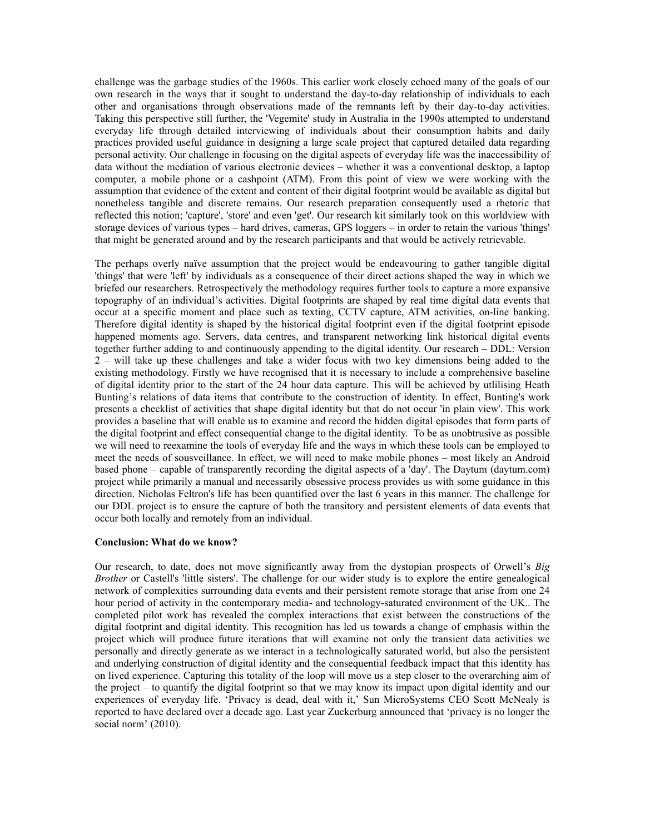challenge was the garbage studies of the 1960s. This earlier work closely echoed many of the goals of our own research in the ways that it sought to understand the day-to-day relationship of individuals to each other and organisations through observations made of the remnants left by their day-to-day activities. Taking this perspective still further, the 'Vegemite' study in Australia in the 1990s attempted to understand everyday life through detailed interviewing of individuals about their consumption habits and daily practices provided useful guidance in designing a large scale project that captured detailed data regarding personal activity. Our challenge in focusing on the digital aspects of everyday life was the inaccessibility of data without the mediation of various electronic devices – whether it was a conventional desktop, a laptop computer, a mobile phone or a cashpoint (ATM). From this point of view we were working with the assumption that evidence of the extent and content of their digital footprint would be available as digital but nonetheless tangible and discrete remains. Our research preparation consequently used a rhetoric that reflected this notion; 'capture', 'store' and even 'get'. Our research kit similarly took on this worldview with storage devices of various types – hard drives, cameras, GPS loggers – in order to retain the various 'things' that might be generated around and by the research participants and that would be actively retrievable.

The perhaps overly naïve assumption that the project would be endeavouring to gather tangible digital 'things' that were 'left' by individuals as a consequence of their direct actions shaped the way in which we briefed our researchers. Retrospectively the methodology requires further tools to capture a more expansive topography of an individual's activities. Digital footprints are shaped by real time digital data events that occur at a specific moment and place such as texting, CCTV capture, ATM activities, on-line banking. Therefore digital identity is shaped by the historical digital footprint even if the digital footprint episode happened moments ago. Servers, data centres, and transparent networking link historical digital events together further adding to and continuously appending to the digital identity. Our research – DDL: Version 2 – will take up these challenges and take a wider focus with two key dimensions being added to the existing methodology. Firstly we have recognised that it is necessary to include a comprehensive baseline of digital identity prior to the start of the 24 hour data capture. This will be achieved by utlilising Heath Bunting's relations of data items that contribute to the construction of identity. In effect, Bunting's work presents a checklist of activities that shape digital identity but that do not occur 'in plain view'. This work provides a baseline that will enable us to examine and record the hidden digital episodes that form parts of the digital footprint and effect consequential change to the digital identity. To be as unobtrusive as possible we will need to reexamine the tools of everyday life and the ways in which these tools can be employed to meet the needs of sousveillance. In effect, we will need to make mobile phones – most likely an Android based phone – capable of transparently recording the digital aspects of a 'day'. The Daytum (daytum.com) project while primarily a manual and necessarily obsessive process provides us with some guidance in this direction. Nicholas Feltron's life has been quantified over the last 6 years in this manner. The challenge for our DDL project is to ensure the capture of both the transitory and persistent elements of data events that occur both locally and remotely from an individual.

#### **Conclusion: What do we know?**

Our research, to date, does not move significantly away from the dystopian prospects of Orwell's *Big Brother* or Castell's 'little sisters'. The challenge for our wider study is to explore the entire genealogical network of complexities surrounding data events and their persistent remote storage that arise from one 24 hour period of activity in the contemporary media- and technology-saturated environment of the UK.. The completed pilot work has revealed the complex interactions that exist between the constructions of the digital footprint and digital identity. This recognition has led us towards a change of emphasis within the project which will produce future iterations that will examine not only the transient data activities we personally and directly generate as we interact in a technologically saturated world, but also the persistent and underlying construction of digital identity and the consequential feedback impact that this identity has on lived experience. Capturing this totality of the loop will move us a step closer to the overarching aim of the project – to quantify the digital footprint so that we may know its impact upon digital identity and our experiences of everyday life. 'Privacy is dead, deal with it,' Sun MicroSystems CEO Scott McNealy is reported to have declared over a decade ago. Last year Zuckerburg announced that 'privacy is no longer the social norm' (2010).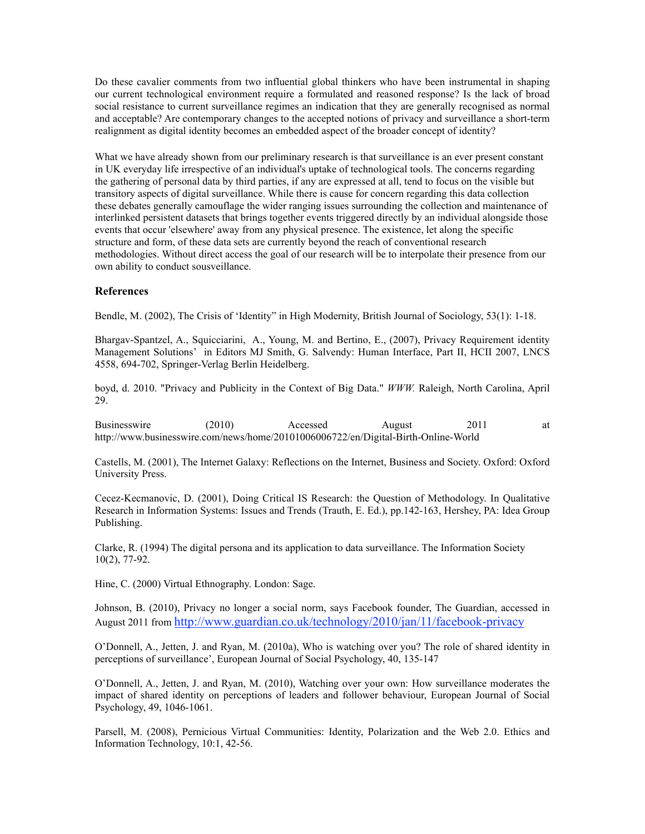Do these cavalier comments from two influential global thinkers who have been instrumental in shaping our current technological environment require a formulated and reasoned response? Is the lack of broad social resistance to current surveillance regimes an indication that they are generally recognised as normal and acceptable? Are contemporary changes to the accepted notions of privacy and surveillance a short-term realignment as digital identity becomes an embedded aspect of the broader concept of identity?

What we have already shown from our preliminary research is that surveillance is an ever present constant in UK everyday life irrespective of an individual's uptake of technological tools. The concerns regarding the gathering of personal data by third parties, if any are expressed at all, tend to focus on the visible but transitory aspects of digital surveillance. While there is cause for concern regarding this data collection these debates generally camouflage the wider ranging issues surrounding the collection and maintenance of interlinked persistent datasets that brings together events triggered directly by an individual alongside those events that occur 'elsewhere' away from any physical presence. The existence, let along the specific structure and form, of these data sets are currently beyond the reach of conventional research methodologies. Without direct access the goal of our research will be to interpolate their presence from our own ability to conduct sousveillance.

## **References**

Bendle, M. (2002), The Crisis of 'Identity" in High Modernity, British Journal of Sociology, 53(1): 1-18.

Bhargav-Spantzel, A., Squicciarini, A., Young, M. and Bertino, E., (2007), Privacy Requirement identity Management Solutions' in Editors MJ Smith, G. Salvendy: Human Interface, Part II, HCII 2007, LNCS 4558, 694-702, Springer-Verlag Berlin Heidelberg.

boyd, d. 2010. "Privacy and Publicity in the Context of Big Data." *WWW.* Raleigh, North Carolina, April 29.

Businesswire (2010) Accessed August 2011 at http://www.businesswire.com/news/home/20101006006722/en/Digital-Birth-Online-World

Castells, M. (2001), The Internet Galaxy: Reflections on the Internet, Business and Society. Oxford: Oxford University Press.

Cecez-Kecmanovic, D. (2001), Doing Critical IS Research: the Question of Methodology. In Qualitative Research in Information Systems: Issues and Trends (Trauth, E. Ed.), pp.142-163, Hershey, PA: Idea Group Publishing.

Clarke, R. (1994) The digital persona and its application to data surveillance. The Information Society 10(2), 77-92.

Hine, C. (2000) Virtual Ethnography. London: Sage.

Johnson, B. (2010), Privacy no longer a social norm, says Facebook founder, The Guardian, accessed in August 2011 from http://www.guardian.co.uk/technology/2010/jan/11/facebook-privacy

O'Donnell, A., Jetten, J. and Ryan, M. (2010a), Who is watching over you? The role of shared identity in perceptions of surveillance', European Journal of Social Psychology, 40, 135-147

O'Donnell, A., Jetten, J. and Ryan, M. (2010), Watching over your own: How surveillance moderates the impact of shared identity on perceptions of leaders and follower behaviour, European Journal of Social Psychology, 49, 1046-1061.

Parsell, M. (2008), Pernicious Virtual Communities: Identity, Polarization and the Web 2.0. Ethics and Information Technology, 10:1, 42-56.